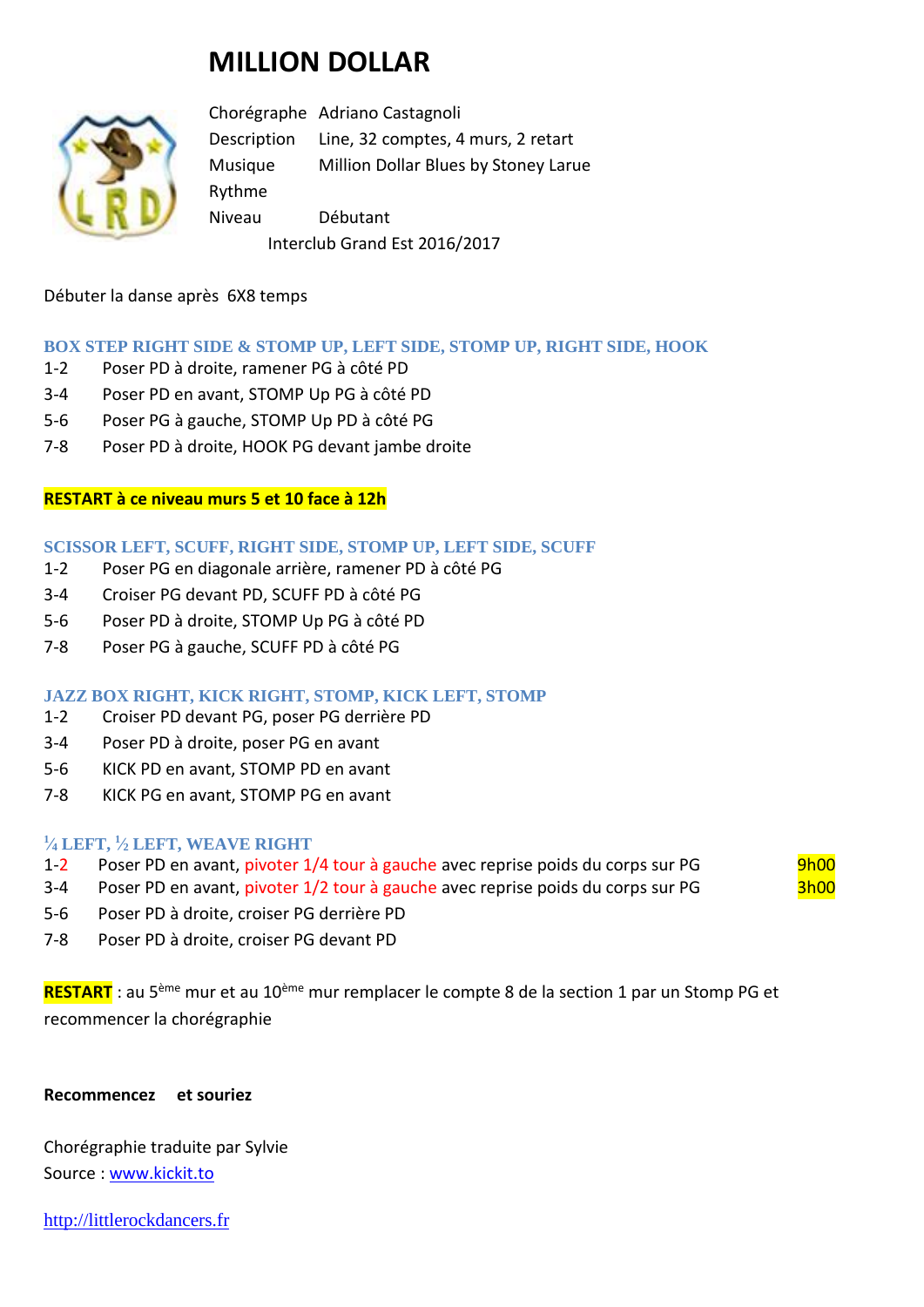# **MILLION DOLLAR**



Chorégraphe Adriano Castagnoli Description Line, 32 comptes, 4 murs, 2 retart Musique Million Dollar Blues by Stoney Larue Rythme Niveau Débutant Interclub Grand Est 2016/2017

Débuter la danse après 6X8 temps

# **BOX STEP RIGHT SIDE & STOMP UP, LEFT SIDE, STOMP UP, RIGHT SIDE, HOOK**

- 1-2 Poser PD à droite, ramener PG à côté PD
- 3-4 Poser PD en avant, STOMP Up PG à côté PD
- 5-6 Poser PG à gauche, STOMP Up PD à côté PG
- 7-8 Poser PD à droite, HOOK PG devant jambe droite

# **RESTART à ce niveau murs 5 et 10 face à 12h**

#### **SCISSOR LEFT, SCUFF, RIGHT SIDE, STOMP UP, LEFT SIDE, SCUFF**

- 1-2 Poser PG en diagonale arrière, ramener PD à côté PG
- 3-4 Croiser PG devant PD, SCUFF PD à côté PG
- 5-6 Poser PD à droite, STOMP Up PG à côté PD
- 7-8 Poser PG à gauche, SCUFF PD à côté PG

# **JAZZ BOX RIGHT, KICK RIGHT, STOMP, KICK LEFT, STOMP**

- 1-2 Croiser PD devant PG, poser PG derrière PD
- 3-4 Poser PD à droite, poser PG en avant
- 5-6 KICK PD en avant, STOMP PD en avant
- 7-8 KICK PG en avant, STOMP PG en avant

#### **1 ⁄<sup>4</sup> LEFT, <sup>1</sup> ⁄<sup>2</sup> LEFT, WEAVE RIGHT**

- 1-2 Poser PD en avant, pivoter 1/4 tour à gauche avec reprise poids du corps sur PG 9h00
- 3-4 Poser PD en avant, pivoter 1/2 tour à gauche avec reprise poids du corps sur PG 3h00
- 5-6 Poser PD à droite, croiser PG derrière PD
- 7-8 Poser PD à droite, croiser PG devant PD

**RESTART** : au 5ème mur et au 10ème mur remplacer le compte 8 de la section 1 par un Stomp PG et recommencer la chorégraphie

#### **Recommencez et souriez**

Chorégraphie traduite par Sylvie Source : [www.kickit.to](http://www.kickit.to/)

[http://littlerockdancers.fr](http://littlerockdancers.fr/)